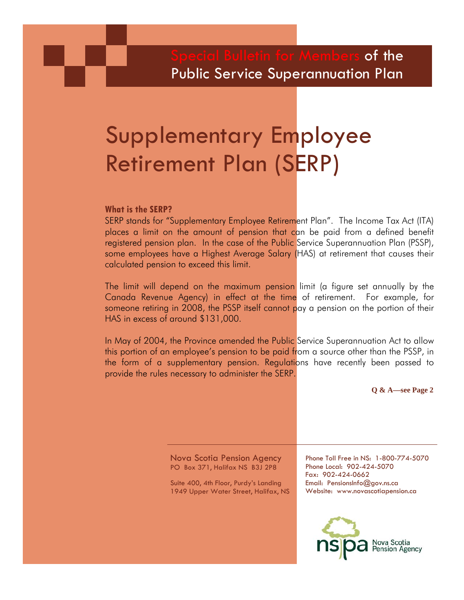## $\overline{\mathsf{of}}$  the Public Service Superannuation Plan

# Supplementary Employee Retirement Plan (SERP)

#### **What is the SERP?**

SERP stands for "Supplementary Employee Retirement Plan". The Income Tax Act (ITA) places a limit on the amount of pension that can be paid from a defined benefit registered pension plan. In the case of the Public Service Superannuation Plan (PSSP), some employees have a Highest Average Salary (HAS) at retirement that causes their calculated pension to exceed this limit.

The limit will depend on the maximum pension limit (a figure set annually by the Canada Revenue Agency) in effect at the time of retirement. For example, for someone retiring in 2008, the PSSP itself cannot pay a pension on the portion of their HAS in excess of around \$131,000.

In May of 2004, the Province amended the Public Service Superannuation Act to allow this portion of an employee's pension to be paid from a source other than the PSSP, in the form of a supplementary pension. Regulations have recently been passed to provide the rules necessary to administer the SERP.

**Q & A—see Page 2** 

Nova Scotia Pension Agency PO Box 371, Halifax NS B3J 2P8

Suite 400, 4th Floor, Purdy's Landing 1949 Upper Water Street, Halifax, NS Phone Toll Free in NS: 1-800-774-5070 Phone Local: 902-424-5070 Fax: 902-424-0662 Email: PensionsInfo@gov.ns.ca Website: www.novascotiapension.ca